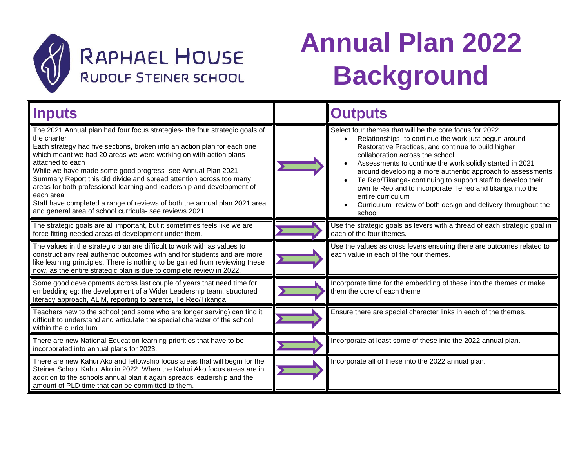

## **RAPHAEL HOUSE** RUDOLF STEINER SCHOOL

# **Annual Plan 2022 Background**

| <b>Inputs</b>                                                                                                                                                                                                                                                                                                                                                                                                                                                                                                                                                                                                                      | <b>Outputs</b>                                                                                                                                                                                                                                                                                                                                                                                                                                                                                                                                                                       |
|------------------------------------------------------------------------------------------------------------------------------------------------------------------------------------------------------------------------------------------------------------------------------------------------------------------------------------------------------------------------------------------------------------------------------------------------------------------------------------------------------------------------------------------------------------------------------------------------------------------------------------|--------------------------------------------------------------------------------------------------------------------------------------------------------------------------------------------------------------------------------------------------------------------------------------------------------------------------------------------------------------------------------------------------------------------------------------------------------------------------------------------------------------------------------------------------------------------------------------|
| The 2021 Annual plan had four focus strategies- the four strategic goals of<br>the charter<br>Each strategy had five sections, broken into an action plan for each one<br>which meant we had 20 areas we were working on with action plans<br>attached to each<br>While we have made some good progress- see Annual Plan 2021<br>Summary Report this did divide and spread attention across too many<br>areas for both professional learning and leadership and development of<br>each area<br>Staff have completed a range of reviews of both the annual plan 2021 area<br>and general area of school curricula- see reviews 2021 | Select four themes that will be the core focus for 2022.<br>Relationships- to continue the work just begun around<br>Restorative Practices, and continue to build higher<br>collaboration across the school<br>Assessments to continue the work solidly started in 2021<br>$\bullet$<br>around developing a more authentic approach to assessments<br>Te Reo/Tikanga- continuing to support staff to develop their<br>٠<br>own te Reo and to incorporate Te reo and tikanga into the<br>entire curriculum<br>Curriculum- review of both design and delivery throughout the<br>school |
| The strategic goals are all important, but it sometimes feels like we are<br>force fitting needed areas of development under them.                                                                                                                                                                                                                                                                                                                                                                                                                                                                                                 | Use the strategic goals as levers with a thread of each strategic goal in<br>each of the four themes.                                                                                                                                                                                                                                                                                                                                                                                                                                                                                |
| The values in the strategic plan are difficult to work with as values to<br>construct any real authentic outcomes with and for students and are more<br>like learning principles. There is nothing to be gained from reviewing these<br>now, as the entire strategic plan is due to complete review in 2022.                                                                                                                                                                                                                                                                                                                       | Use the values as cross levers ensuring there are outcomes related to<br>each value in each of the four themes.                                                                                                                                                                                                                                                                                                                                                                                                                                                                      |
| Some good developments across last couple of years that need time for<br>embedding eg: the development of a Wider Leadership team, structured<br>literacy approach, ALiM, reporting to parents, Te Reo/Tikanga                                                                                                                                                                                                                                                                                                                                                                                                                     | Incorporate time for the embedding of these into the themes or make<br>them the core of each theme                                                                                                                                                                                                                                                                                                                                                                                                                                                                                   |
| Teachers new to the school (and some who are longer serving) can find it<br>difficult to understand and articulate the special character of the school<br>within the curriculum                                                                                                                                                                                                                                                                                                                                                                                                                                                    | Ensure there are special character links in each of the themes.                                                                                                                                                                                                                                                                                                                                                                                                                                                                                                                      |
| There are new National Education learning priorities that have to be<br>incorporated into annual plans for 2023.                                                                                                                                                                                                                                                                                                                                                                                                                                                                                                                   | Incorporate at least some of these into the 2022 annual plan.                                                                                                                                                                                                                                                                                                                                                                                                                                                                                                                        |
| There are new Kahui Ako and fellowship focus areas that will begin for the<br>Steiner School Kahui Ako in 2022. When the Kahui Ako focus areas are in<br>addition to the schools annual plan it again spreads leadership and the<br>amount of PLD time that can be committed to them.                                                                                                                                                                                                                                                                                                                                              | Incorporate all of these into the 2022 annual plan.                                                                                                                                                                                                                                                                                                                                                                                                                                                                                                                                  |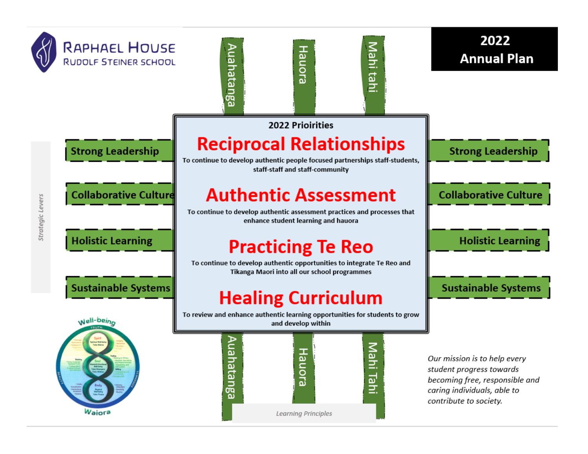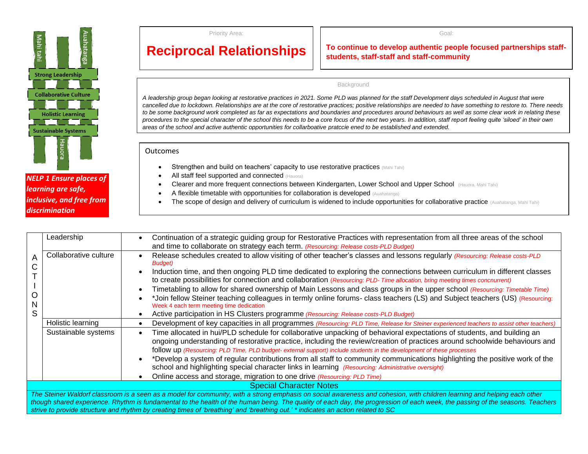

*NELP 1 Ensure places of learning are safe, inclusive, and free from discrimination* 

Priority Area:

#### Goal:

### **Reciprocal Relationships**

### **To continue to develop authentic people focused partnerships staffstudents, staff-staff and staff-community**

#### Background

*A leadership group began looking at restorative practices in 2021. Some PLD was planned for the staff Development days scheduled in August that were cancelled due to lockdown. Relationships are at the core of restorative practices; positive relationships are needed to have something to restore to. There needs to be some background work completed as far as expectations and boundaries and procedures around behaviours as well as some clear work in relating these procedures to the special character of the school this needs to be a core focus of the next two years. In addition, staff report feeling quite 'siloed' in their own areas of the school and active authentic opportunities for collarboative pratccie ened to be established and extended.*

### **Outcomes**

• Strengthen and build on teachers' capacity to use restorative practices (Mahi Tahi)

*Lack of collaboration spaces and people siloed practice Diviions in community ened healing*

- All staff feel supported and connected (Hauora)
- Clearer and more frequent connections between Kindergarten, Lower School and Upper School (Hauora, Mahi Tahi)
- A flexible timetable with opportunities for collaboration is developed (Auahatanga)
- The scope of design and delivery of curriculum is widened to include opportunities for collaborative practice (Auahatanga, Mahi Tahi)

|                                                                                                                                                                                                                                                                                                                                                                                                                                                                                               | Leadership            | Continuation of a strategic guiding group for Restorative Practices with representation from all three areas of the school                                                                                                                                                                                                                                                    |
|-----------------------------------------------------------------------------------------------------------------------------------------------------------------------------------------------------------------------------------------------------------------------------------------------------------------------------------------------------------------------------------------------------------------------------------------------------------------------------------------------|-----------------------|-------------------------------------------------------------------------------------------------------------------------------------------------------------------------------------------------------------------------------------------------------------------------------------------------------------------------------------------------------------------------------|
| A                                                                                                                                                                                                                                                                                                                                                                                                                                                                                             |                       | and time to collaborate on strategy each term. (Resourcing: Release costs-PLD Budget)                                                                                                                                                                                                                                                                                         |
|                                                                                                                                                                                                                                                                                                                                                                                                                                                                                               | Collaborative culture | Release schedules created to allow visiting of other teacher's classes and lessons regularly (Resourcing: Release costs-PLD<br>Budget)                                                                                                                                                                                                                                        |
|                                                                                                                                                                                                                                                                                                                                                                                                                                                                                               |                       | Induction time, and then ongoing PLD time dedicated to exploring the connections between curriculum in different classes                                                                                                                                                                                                                                                      |
|                                                                                                                                                                                                                                                                                                                                                                                                                                                                                               |                       | to create possibilities for connection and collaboration (Resourcing: PLD- Time allocation, bring meeting times concnurrent)                                                                                                                                                                                                                                                  |
|                                                                                                                                                                                                                                                                                                                                                                                                                                                                                               |                       | Timetabling to allow for shared ownership of Main Lessons and class groups in the upper school (Resourcing: Timetable Time)                                                                                                                                                                                                                                                   |
| N                                                                                                                                                                                                                                                                                                                                                                                                                                                                                             |                       | *Join fellow Steiner teaching colleagues in termly online forums- class teachers (LS) and Subject teachers (US) (Resourcing:<br>Week 4 each term meeting time dedication                                                                                                                                                                                                      |
| S                                                                                                                                                                                                                                                                                                                                                                                                                                                                                             |                       | Active participation in HS Clusters programme (Resourcing: Release costs-PLD Budget)                                                                                                                                                                                                                                                                                          |
|                                                                                                                                                                                                                                                                                                                                                                                                                                                                                               | Holistic learning     | Development of key capacities in all programmes (Resourcing: PLD Time, Release for Steiner experienced teachers to assist other teachers)                                                                                                                                                                                                                                     |
|                                                                                                                                                                                                                                                                                                                                                                                                                                                                                               | Sustainable systems   | Time allocated in hui/PLD schedule for collaborative unpacking of behavioral expectations of students, and building an<br>ongoing understanding of restorative practice, including the review/creation of practices around schoolwide behaviours and<br>follow up (Resourcing: PLD Time, PLD budget- external support) include students in the development of these processes |
|                                                                                                                                                                                                                                                                                                                                                                                                                                                                                               |                       | *Develop a system of regular contributions from all staff to community communications highlighting the positive work of the                                                                                                                                                                                                                                                   |
|                                                                                                                                                                                                                                                                                                                                                                                                                                                                                               |                       | school and highlighting special character links in learning (Resourcing: Administrative oversight)                                                                                                                                                                                                                                                                            |
|                                                                                                                                                                                                                                                                                                                                                                                                                                                                                               |                       | Online access and storage, migration to one drive (Resourcing: PLD Time)                                                                                                                                                                                                                                                                                                      |
| <b>Special Character Notes</b>                                                                                                                                                                                                                                                                                                                                                                                                                                                                |                       |                                                                                                                                                                                                                                                                                                                                                                               |
| The Steiner Waldorf classroom is a seen as a model for community, with a strong emphasis on social awareness and cohesion, with children learning and helping each other<br>though shared experience. Rhythm is fundamental to the health of the human being. The quality of each day, the progression of each week, the passing of the seasons. Teachers<br>strive to provide structure and rhythm by creating times of 'breathing' and 'breathing out.' * indicates an action related to SC |                       |                                                                                                                                                                                                                                                                                                                                                                               |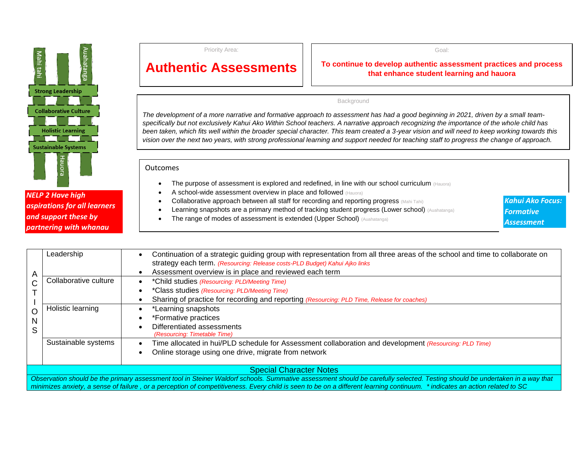

### *NELP 2 Have high aspirations for all learners and support these by partnering with whanau*

Priority Area:

### **Authentic Assessments**

**To continue to develop authentic assessment practices and process that enhance student learning and hauora** 

### Background

*The development of a more narrative and formative approach to assessment has had a good beginning in 2021, driven by a small teamspecifically but not exclusively Kahui Ako Within School teachers. A narrative approach recognizing the importance of the whole child has been taken, which fits well within the broader special character. This team created a 3-year vision and will need to keep working towards this vision over the next two years, with strong professional learning and support needed for teaching staff to progress the change of approach.* 

*Research shows….lockdown experience showed the ened to differentiate lesson delivery and assessment in order to enable different types of* **Outcomes** 

- The purpose of assessment is explored and redefined, in line with our school curriculum (Hauora)
- A school-wide assessment overview in place and followed (Hauora)
- Collaborative approach between all staff for recording and reporting progress (Mahi Tahi)
- Learning snapshots are a primary method of tracking student progress (Lower school) (Auahatanga)
- **The range of modes of assessment is extended (Upper School) (Auahatanga)**

*Kahui Ako Focus: Formative Assessment*

|                                                                                                                                                                             | Leadership            | Continuation of a strategic guiding group with representation from all three areas of the school and time to collaborate on<br>strategy each term. (Resourcing: Release costs-PLD Budget) Kahui Ajko links |
|-----------------------------------------------------------------------------------------------------------------------------------------------------------------------------|-----------------------|------------------------------------------------------------------------------------------------------------------------------------------------------------------------------------------------------------|
| A                                                                                                                                                                           |                       | Assessment overview is in place and reviewed each term                                                                                                                                                     |
| C                                                                                                                                                                           | Collaborative culture | *Child studies (Resourcing: PLD/Meeting Time)                                                                                                                                                              |
|                                                                                                                                                                             |                       | *Class studies (Resourcing: PLD/Meeting Time)                                                                                                                                                              |
|                                                                                                                                                                             |                       | Sharing of practice for recording and reporting (Resourcing: PLD Time, Release for coaches)                                                                                                                |
| O                                                                                                                                                                           | Holistic learning     | *Learning snapshots                                                                                                                                                                                        |
| N                                                                                                                                                                           |                       | *Formative practices                                                                                                                                                                                       |
| S                                                                                                                                                                           |                       | Differentiated assessments                                                                                                                                                                                 |
|                                                                                                                                                                             |                       | (Resourcing: Timetable Time)                                                                                                                                                                               |
|                                                                                                                                                                             | Sustainable systems   | Time allocated in hui/PLD schedule for Assessment collaboration and development (Resourcing: PLD Time)                                                                                                     |
|                                                                                                                                                                             |                       | Online storage using one drive, migrate from network                                                                                                                                                       |
|                                                                                                                                                                             |                       |                                                                                                                                                                                                            |
| <b>Special Character Notes</b>                                                                                                                                              |                       |                                                                                                                                                                                                            |
| Observation should be the primary assessment tool in Steiner Waldorf schools. Summative assessment should be carefully selected. Testing should be undertaken in a way that |                       |                                                                                                                                                                                                            |
| minimizes anxiety, a sense of failure, or a perception of competitiveness. Every child is seen to be on a different learning continuum. * indicates an action related to SC |                       |                                                                                                                                                                                                            |

Goal: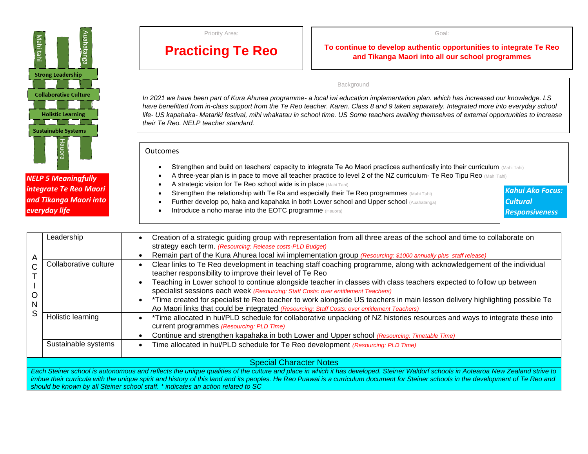| öυ<br>tahi |                              | ஜ |  |
|------------|------------------------------|---|--|
|            | <b>Strong Leadership</b>     |   |  |
|            |                              |   |  |
|            | <b>Collaborative Culture</b> |   |  |
|            |                              |   |  |
|            | <b>Holistic Learning</b>     |   |  |
|            |                              |   |  |
|            | <b>Sustainable Systems</b>   |   |  |
|            | Hauora                       |   |  |

*NELP 5 Meaningfully integrate Te Reo Maori and Tikanga Maori into everyday life*

Priority Area:

### **Practicing Te Reo**

**To continue to develop authentic opportunities to integrate Te Reo and Tikanga Maori into all our school programmes**

#### Background

*In 2021 we have been part of Kura Ahurea programme- a local iwi education implementation plan. which has increased our knowledge. LS have benefitted from in-class support from the Te Reo teacher. Karen. Class 8 and 9 taken separately. Integrated more into everyday school life- US kapahaka- Matariki festival, mihi whakatau in school time. US Some teachers availing themselves of external opportunities to increase their Te Reo. NELP teacher standard.*

### **Outcomes**

- Strengthen and build on teachers' capacity to integrate Te Ao Maori practices authentically into their curriculum (Mahi Tahi)
- A three-year plan is in pace to move all teacher practice to level 2 of the NZ curriculum- Te Reo Tipu Reo (Mahi Tahi)
- A strategic vision for Te Reo school wide is in place (Mahi Tahi)
- **Strengthen the relationship with Te Ra and especially their Te Reo programmes** (Mahi Tahi)
- Further develop po, haka and kapahaka in both Lower school and Upper school (Auahatanga)
- Introduce a noho marae into the EOTC programme (Hauora)

*Kahui Ako Focus: Cultural Responsiveness*

| A<br>N<br>S                                                                                                                                                                                                                                                                                                                                                             | Leadership            | Creation of a strategic guiding group with representation from all three areas of the school and time to collaborate on<br>strategy each term. (Resourcing: Release costs-PLD Budget)<br>Remain part of the Kura Ahurea local iwi implementation group (Resourcing: \$1000 annually plus staff release)                                                                                                                                                                                                                                                                                                                    |
|-------------------------------------------------------------------------------------------------------------------------------------------------------------------------------------------------------------------------------------------------------------------------------------------------------------------------------------------------------------------------|-----------------------|----------------------------------------------------------------------------------------------------------------------------------------------------------------------------------------------------------------------------------------------------------------------------------------------------------------------------------------------------------------------------------------------------------------------------------------------------------------------------------------------------------------------------------------------------------------------------------------------------------------------------|
|                                                                                                                                                                                                                                                                                                                                                                         | Collaborative culture | Clear links to Te Reo development in teaching staff coaching programme, along with acknowledgement of the individual<br>teacher responsibility to improve their level of Te Reo<br>Teaching in Lower school to continue alongside teacher in classes with class teachers expected to follow up between<br>specialist sessions each week (Resourcing: Staff Costs: over entitlement Teachers)<br>*Time created for specialist te Reo teacher to work alongside US teachers in main lesson delivery highlighting possible Te<br>Ao Maori links that could be integrated (Resourcing: Staff Costs: over entitlement Teachers) |
|                                                                                                                                                                                                                                                                                                                                                                         | Holistic learning     | *Time allocated in hui/PLD schedule for collaborative unpacking of NZ histories resources and ways to integrate these into<br>current programmes (Resourcing: PLD Time)<br>Continue and strengthen kapahaka in both Lower and Upper school (Resourcing: Timetable Time)                                                                                                                                                                                                                                                                                                                                                    |
|                                                                                                                                                                                                                                                                                                                                                                         | Sustainable systems   | Time allocated in hui/PLD schedule for Te Reo development (Resourcing: PLD Time)                                                                                                                                                                                                                                                                                                                                                                                                                                                                                                                                           |
| <b>Special Character Notes</b>                                                                                                                                                                                                                                                                                                                                          |                       |                                                                                                                                                                                                                                                                                                                                                                                                                                                                                                                                                                                                                            |
| Each Steiner school is autonomous and reflects the unique qualities of the culture and place in which it has developed. Steiner Waldorf schools in Aotearoa New Zealand strive to<br>imbue their curricula with the unique spirit and history of this land and its peoples. He Reo Puawai is a curriculum document for Steiner schools in the development of Te Reo and |                       |                                                                                                                                                                                                                                                                                                                                                                                                                                                                                                                                                                                                                            |

*should be known by all Steiner school staff. \* indicates an action related to SC*

Goal: